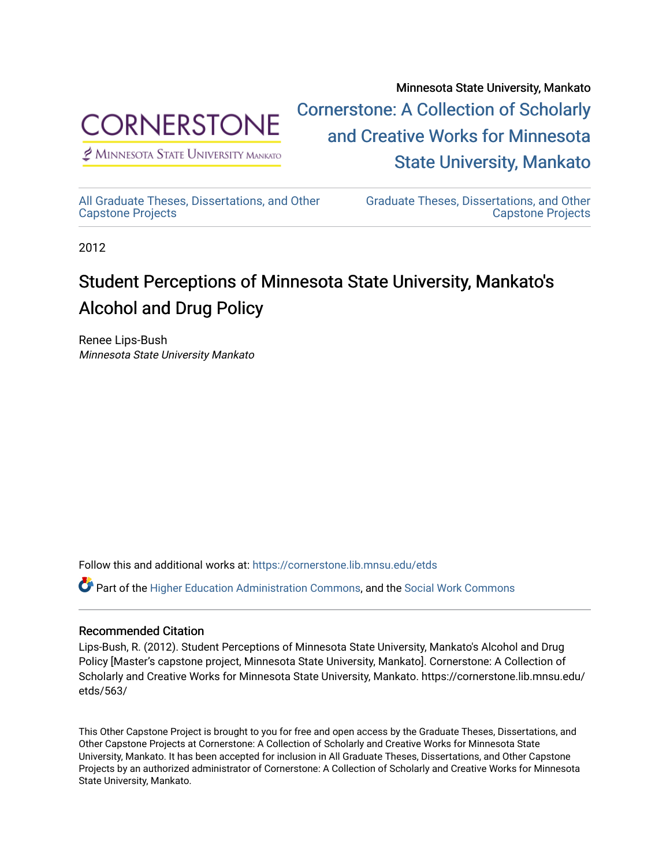

Minnesota State University, Mankato [Cornerstone: A Collection of Scholarly](https://cornerstone.lib.mnsu.edu/)  [and Creative Works for Minnesota](https://cornerstone.lib.mnsu.edu/)  [State University, Mankato](https://cornerstone.lib.mnsu.edu/) 

 $<sup>2</sup>$  Minnesota State University Mankato</sup>

[All Graduate Theses, Dissertations, and Other](https://cornerstone.lib.mnsu.edu/etds)  [Capstone Projects](https://cornerstone.lib.mnsu.edu/etds) 

[Graduate Theses, Dissertations, and Other](https://cornerstone.lib.mnsu.edu/theses_dissertations-capstone)  [Capstone Projects](https://cornerstone.lib.mnsu.edu/theses_dissertations-capstone) 

2012

### Student Perceptions of Minnesota State University, Mankato's Alcohol and Drug Policy

Renee Lips-Bush Minnesota State University Mankato

Follow this and additional works at: [https://cornerstone.lib.mnsu.edu/etds](https://cornerstone.lib.mnsu.edu/etds?utm_source=cornerstone.lib.mnsu.edu%2Fetds%2F563&utm_medium=PDF&utm_campaign=PDFCoverPages) 

Part of the [Higher Education Administration Commons,](http://network.bepress.com/hgg/discipline/791?utm_source=cornerstone.lib.mnsu.edu%2Fetds%2F563&utm_medium=PDF&utm_campaign=PDFCoverPages) and the [Social Work Commons](http://network.bepress.com/hgg/discipline/713?utm_source=cornerstone.lib.mnsu.edu%2Fetds%2F563&utm_medium=PDF&utm_campaign=PDFCoverPages) 

#### Recommended Citation

Lips-Bush, R. (2012). Student Perceptions of Minnesota State University, Mankato's Alcohol and Drug Policy [Master's capstone project, Minnesota State University, Mankato]. Cornerstone: A Collection of Scholarly and Creative Works for Minnesota State University, Mankato. https://cornerstone.lib.mnsu.edu/ etds/563/

This Other Capstone Project is brought to you for free and open access by the Graduate Theses, Dissertations, and Other Capstone Projects at Cornerstone: A Collection of Scholarly and Creative Works for Minnesota State University, Mankato. It has been accepted for inclusion in All Graduate Theses, Dissertations, and Other Capstone Projects by an authorized administrator of Cornerstone: A Collection of Scholarly and Creative Works for Minnesota State University, Mankato.